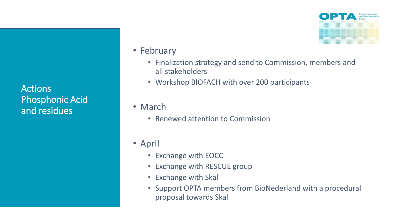**Actions** Phosphonic Acid and residues

- February
	- Finalization strategy and send to Commission, members and all stakeholders
	- Workshop BIOFACH with over 200 participants

• March

- Renewed attention to Commission
- April
	- Exchange with EOCC
	- Exchange with RESCUE group
	- Exchange with Skal
	- Support OPTA members from BioNederland with a procedural proposal towards Skal

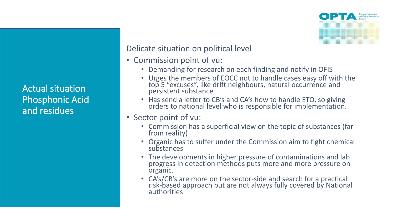Actual situation Phosphonic Acid and residues

Delicate situation on political level

- Commission point of vu:
	- Demanding for research on each finding and notify in OFIS
	- Urges the members of EOCC not to handle cases easy off with the top 5 "excuses", like drift neighbours, natural occurrence and persistent substance
	- Has send a letter to CB's and CA's how to handle ETO, so giving orders to national level who is responsible for implementation.
- Sector point of vu:
	- Commission has a superficial view on the topic of substances (far from reality)
	- Organic has to suffer under the Commission aim to fight chemical substances
	- The developments in higher pressure of contaminations and lab progress in detection methods puts more and more pressure on organic.
	- CA's/CB's are more on the sector-side and search for a practical risk-based approach but are not always fully covered by National authorities